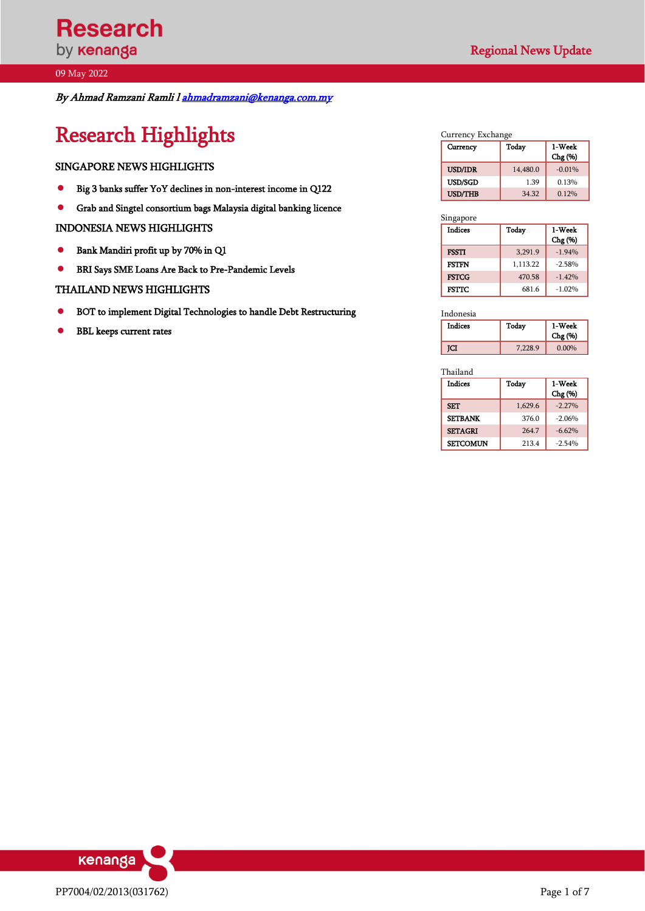By Ahmad Ramzani Ramli [l ahmadramzani@kenanga.com.my](mailto:ahmadramzani@kenanga.com.my)

# Research Highlights

### SINGAPORE NEWS HIGHLIGHTS

- ⚫ Big 3 banks suffer YoY declines in non-interest income in Q122
- ⚫ Grab and Singtel consortium bags Malaysia digital banking licence

### INDONESIA NEWS HIGHLIGHTS

- ⚫ Bank Mandiri profit up by 70% in Q1
- ⚫ BRI Says SME Loans Are Back to Pre-Pandemic Levels

### THAILAND NEWS HIGHLIGHTS

- ⚫ BOT to implement Digital Technologies to handle Debt Restructuring
- ⚫ BBL keeps current rates

### Currency Exchange<br>Currency Today Currency Today 1-Week Chg (%) USD/IDR 14,480.0 -0.01% USD/SGD 1.39 0.13% USD/THB 34.32 0.12%

| Singapore      |          |                   |
|----------------|----------|-------------------|
| <b>Indices</b> | Today    | 1-Week<br>Chg (%) |
| <b>FSSTI</b>   | 3,291.9  | $-1.94%$          |
| <b>FSTTN</b>   | 1,113.22 | $-2.58%$          |
| <b>FSTCG</b>   | 470.58   | $-1.42%$          |
| <b>FSTTC</b>   | 681.6    | $-1.02%$          |

Indonesia<br>Indices Today 1-Week Chg (%) **JCI** 7,228.9 0.00%

Thailand

| <b>Indices</b>  | Today   | 1-Week   |
|-----------------|---------|----------|
|                 |         | Chg (%)  |
| <b>SET</b>      | 1,629.6 | $-2.27%$ |
| <b>SETBANK</b>  | 376.0   | $-2.06%$ |
| <b>SETAGRI</b>  | 264.7   | $-6.62%$ |
| <b>SETCOMUN</b> | 213.4   | $-2.54%$ |

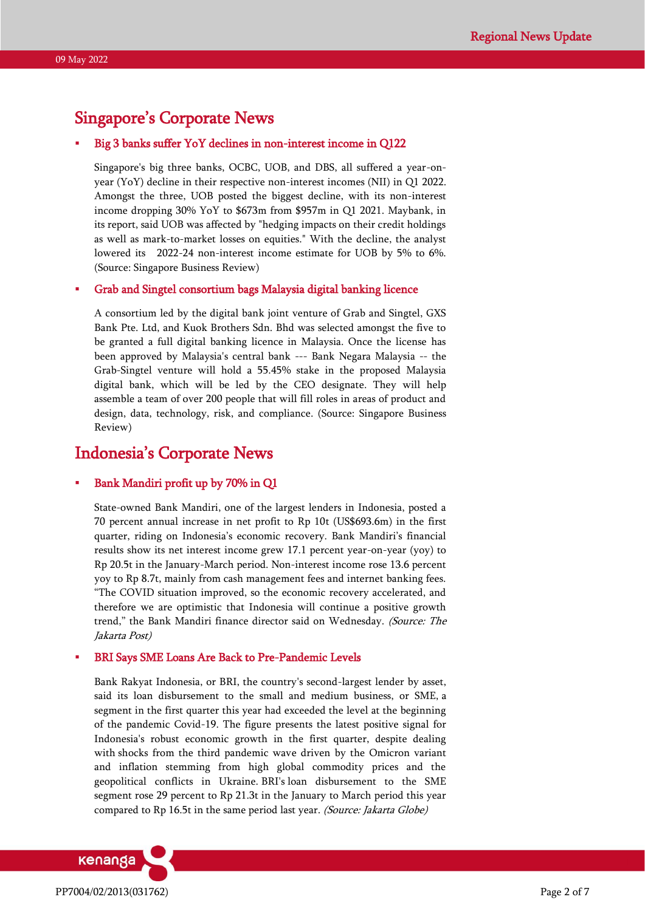# Singapore's Corporate News

### Big 3 banks suffer YoY declines in non-interest income in Q122

Singapore's big three banks, OCBC, UOB, and DBS, all suffered a year-onyear (YoY) decline in their respective non-interest incomes (NII) in Q1 2022. Amongst the three, UOB posted the biggest decline, with its non-interest income dropping 30% YoY to \$673m from \$957m in Q1 2021. Maybank, in its report, said UOB was affected by "hedging impacts on their credit holdings as well as mark-to-market losses on equities." With the decline, the analyst lowered its 2022-24 non-interest income estimate for UOB by 5% to 6%. (Source: Singapore Business Review)

### Grab and Singtel consortium bags Malaysia digital banking licence

A consortium led by the digital bank joint venture of Grab and Singtel, GXS Bank Pte. Ltd, and Kuok Brothers Sdn. Bhd was selected amongst the five to be granted a full digital banking licence in Malaysia. Once the license has been approved by Malaysia's central bank --- Bank Negara Malaysia -- the Grab-Singtel venture will hold a 55.45% stake in the proposed Malaysia digital bank, which will be led by the CEO designate. They will help assemble a team of over 200 people that will fill roles in areas of product and design, data, technology, risk, and compliance. (Source: Singapore Business Review)

# Indonesia's Corporate News

### Bank Mandiri profit up by 70% in Q1

State-owned Bank Mandiri, one of the largest lenders in Indonesia, posted a 70 percent annual increase in net profit to Rp 10t (US\$693.6m) in the first quarter, riding on Indonesia's economic recovery. Bank Mandiri's financial results show its net interest income grew 17.1 percent year-on-year (yoy) to Rp 20.5t in the January-March period. Non-interest income rose 13.6 percent yoy to Rp 8.7t, mainly from cash management fees and internet banking fees. "The COVID situation improved, so the economic recovery accelerated, and therefore we are optimistic that Indonesia will continue a positive growth trend," the Bank Mandiri finance director said on Wednesday. (Source: The Jakarta Post)

#### BRI Says SME Loans Are Back to Pre-Pandemic Levels

Bank Rakyat Indonesia, or BRI, the country's second-largest lender by asset, said its loan disbursement to the small and medium business, or SME, a segment in the first quarter this year had exceeded the level at the beginning of the pandemic Covid-19. The figure presents the latest positive signal for Indonesia's robust economic growth in the first quarter, despite dealing with shocks from the third pandemic wave driven by the Omicron variant and inflation stemming from high global commodity prices and the geopolitical conflicts in Ukraine. BRI's loan disbursement to the SME segment rose 29 percent to Rp 21.3t in the January to March period this year compared to Rp 16.5t in the same period last year. (Source: Jakarta Globe)

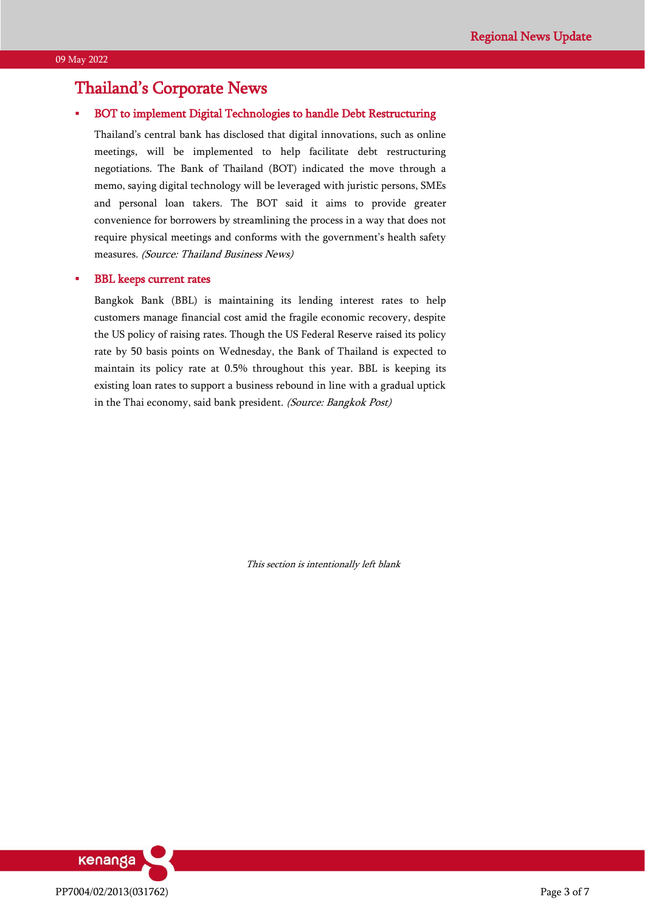# Thailand's Corporate News

### BOT to implement Digital Technologies to handle Debt Restructuring

Thailand's central bank has disclosed that digital innovations, such as online meetings, will be implemented to help facilitate debt restructuring negotiations. The Bank of Thailand (BOT) indicated the move through a memo, saying digital technology will be leveraged with juristic persons, SMEs and personal loan takers. The BOT said it aims to provide greater convenience for borrowers by streamlining the process in a way that does not require physical meetings and conforms with the government's health safety measures. (Source: Thailand Business News)

### **BBL** keeps current rates

Bangkok Bank (BBL) is maintaining its lending interest rates to help customers manage financial cost amid the fragile economic recovery, despite the US policy of raising rates. Though the US Federal Reserve raised its policy rate by 50 basis points on Wednesday, the Bank of Thailand is expected to maintain its policy rate at 0.5% throughout this year. BBL is keeping its existing loan rates to support a business rebound in line with a gradual uptick in the Thai economy, said bank president. (Source: Bangkok Post)

This section is intentionally left blank

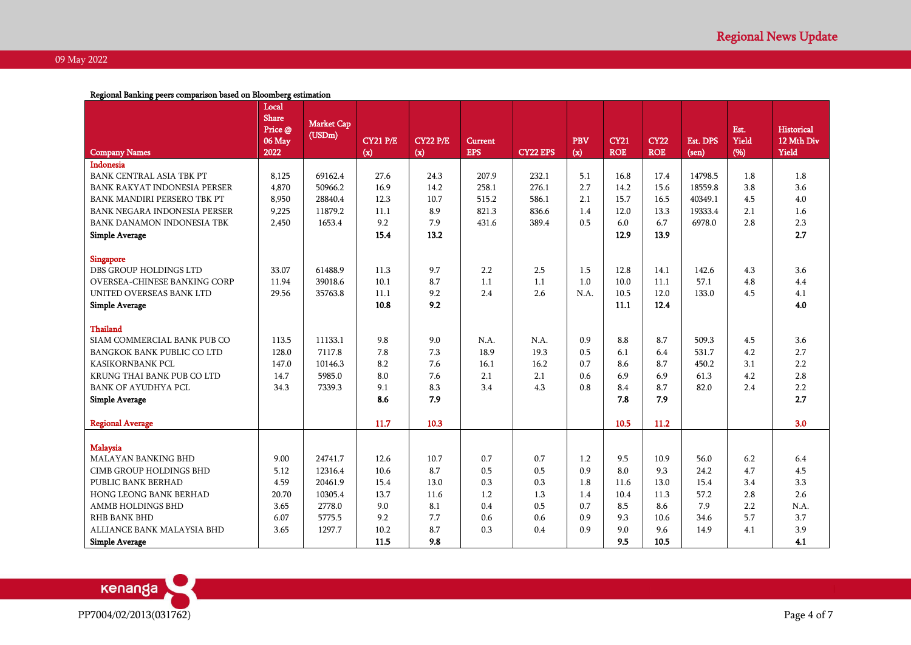Regional Banking peers comparison based on Bloomberg estimation

|                                     | Local<br><b>Share</b><br>Price @ | <b>Market Cap</b> |                 |                 |                |                 |            |             |             |          | Est.  | <b>Historical</b> |
|-------------------------------------|----------------------------------|-------------------|-----------------|-----------------|----------------|-----------------|------------|-------------|-------------|----------|-------|-------------------|
|                                     | $06$ May                         | (USDm)            | <b>CY21 P/E</b> | <b>CY22 P/E</b> | <b>Current</b> |                 | <b>PBV</b> | <b>CY21</b> | <b>CY22</b> | Est. DPS | Yield | 12 Mth Div        |
| <b>Company Names</b>                | 2022                             |                   | (x)             | (x)             | <b>EPS</b>     | <b>CY22 EPS</b> | (x)        | <b>ROE</b>  | <b>ROE</b>  | (sen)    | (%)   | Yield             |
| Indonesia                           |                                  |                   |                 |                 |                |                 |            |             |             |          |       |                   |
| <b>BANK CENTRAL ASIA TBK PT</b>     | 8,125                            | 69162.4           | 27.6            | 24.3            | 207.9          | 232.1           | 5.1        | 16.8        | 17.4        | 14798.5  | 1.8   | 1.8               |
| <b>BANK RAKYAT INDONESIA PERSER</b> | 4,870                            | 50966.2           | 16.9            | 14.2            | 258.1          | 276.1           | 2.7        | 14.2        | 15.6        | 18559.8  | 3.8   | 3.6               |
| BANK MANDIRI PERSERO TBK PT         | 8,950                            | 28840.4           | 12.3            | 10.7            | 515.2          | 586.1           | 2.1        | 15.7        | 16.5        | 40349.1  | 4.5   | 4.0               |
| <b>BANK NEGARA INDONESIA PERSER</b> | 9,225                            | 11879.2           | 11.1            | 8.9             | 821.3          | 836.6           | 1.4        | 12.0        | 13.3        | 19333.4  | 2.1   | 1.6               |
| BANK DANAMON INDONESIA TBK          | 2,450                            | 1653.4            | 9.2             | 7.9             | 431.6          | 389.4           | 0.5        | 6.0         | 6.7         | 6978.0   | 2.8   | 2.3               |
| <b>Simple Average</b>               |                                  |                   | 15.4            | 13.2            |                |                 |            | 12.9        | 13.9        |          |       | 2.7               |
| <b>Singapore</b>                    |                                  |                   |                 |                 |                |                 |            |             |             |          |       |                   |
| DBS GROUP HOLDINGS LTD              | 33.07                            | 61488.9           | 11.3            | 9.7             | 2.2            | 2.5             | 1.5        | 12.8        | 14.1        | 142.6    | 4.3   | 3.6               |
| <b>OVERSEA-CHINESE BANKING CORP</b> | 11.94                            | 39018.6           | 10.1            | 8.7             | 1.1            | 1.1             | 1.0        | 10.0        | 11.1        | 57.1     | 4.8   | 4.4               |
| UNITED OVERSEAS BANK LTD            | 29.56                            | 35763.8           | 11.1            | 9.2             | 2.4            | 2.6             | N.A.       | 10.5        | 12.0        | 133.0    | 4.5   | 4.1               |
| <b>Simple Average</b>               |                                  |                   | 10.8            | 9.2             |                |                 |            | 11.1        | 12.4        |          |       | 4.0               |
|                                     |                                  |                   |                 |                 |                |                 |            |             |             |          |       |                   |
| Thailand                            |                                  |                   |                 |                 |                |                 |            |             |             |          |       |                   |
| SIAM COMMERCIAL BANK PUB CO         | 113.5                            | 11133.1           | 9.8             | 9.0             | N.A.           | N.A.            | 0.9        | 8.8         | 8.7         | 509.3    | 4.5   | 3.6               |
| <b>BANGKOK BANK PUBLIC CO LTD</b>   | 128.0                            | 7117.8            | 7.8             | 7.3             | 18.9           | 19.3            | 0.5        | 6.1         | 6.4         | 531.7    | 4.2   | 2.7               |
| <b>KASIKORNBANK PCL</b>             | 147.0                            | 10146.3           | 8.2             | 7.6             | 16.1           | 16.2            | 0.7        | 8.6         | 8.7         | 450.2    | 3.1   | 2.2               |
| KRUNG THAI BANK PUB CO LTD          | 14.7                             | 5985.0            | 8.0             | 7.6             | 2.1            | 2.1             | 0.6        | 6.9         | 6.9         | 61.3     | 4.2   | 2.8               |
| <b>BANK OF AYUDHYA PCL</b>          | 34.3                             | 7339.3            | 9.1             | 8.3             | 3.4            | 4.3             | 0.8        | 8.4         | 8.7         | 82.0     | 2.4   | 2.2               |
| <b>Simple Average</b>               |                                  |                   | 8.6             | 7.9             |                |                 |            | 7.8         | 7.9         |          |       | 2.7               |
|                                     |                                  |                   |                 |                 |                |                 |            |             |             |          |       |                   |
| <b>Regional Average</b>             |                                  |                   | 11.7            | 10.3            |                |                 |            | 10.5        | 11.2        |          |       | 3.0               |
|                                     |                                  |                   |                 |                 |                |                 |            |             |             |          |       |                   |
| Malaysia                            |                                  |                   |                 |                 |                |                 |            |             |             |          |       |                   |
| <b>MALAYAN BANKING BHD</b>          | 9.00                             | 24741.7           | 12.6            | 10.7            | 0.7            | 0.7             | 1.2        | 9.5         | 10.9        | 56.0     | 6.2   | 6.4               |
| <b>CIMB GROUP HOLDINGS BHD</b>      | 5.12                             | 12316.4           | 10.6            | 8.7             | 0.5            | 0.5             | 0.9        | 8.0         | 9.3         | 24.2     | 4.7   | 4.5               |
| PUBLIC BANK BERHAD                  | 4.59                             | 20461.9           | 15.4            | 13.0            | 0.3            | 0.3             | 1.8        | 11.6        | 13.0        | 15.4     | 3.4   | 3.3               |
| <b>HONG LEONG BANK BERHAD</b>       | 20.70                            | 10305.4           | 13.7            | 11.6            | 1.2            | 1.3             | 1.4        | 10.4        | 11.3        | 57.2     | 2.8   | 2.6               |
| AMMB HOLDINGS BHD                   | 3.65                             | 2778.0            | 9.0             | 8.1             | 0.4            | 0.5             | 0.7        | 8.5         | 8.6         | 7.9      | 2.2   | N.A.              |
| <b>RHB BANK BHD</b>                 | 6.07                             | 5775.5            | 9.2             | 7.7             | 0.6            | 0.6             | 0.9        | 9.3         | 10.6        | 34.6     | 5.7   | 3.7               |
| ALLIANCE BANK MALAYSIA BHD          | 3.65                             | 1297.7            | 10.2            | 8.7             | 0.3            | 0.4             | 0.9        | 9.0         | 9.6         | 14.9     | 4.1   | 3.9               |
| <b>Simple Average</b>               |                                  |                   | 11.5            | 9.8             |                |                 |            | 9.5         | 10.5        |          |       | 4.1               |

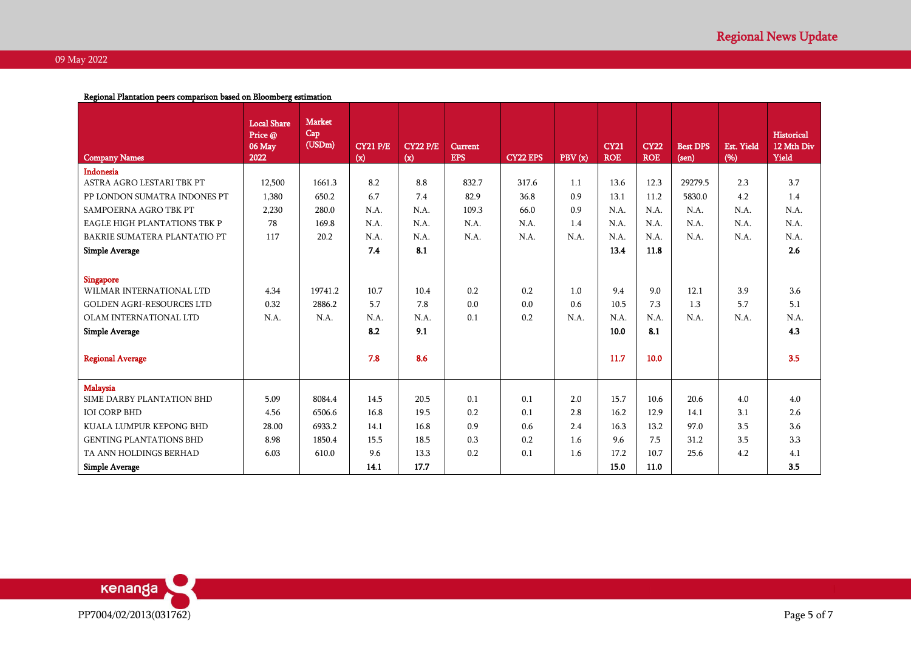### Regional Plantation peers comparison based on Bloomberg estimation

| <b>Company Names</b>                | <b>Local Share</b><br>Price @<br>06 May<br>2022 | <b>Market</b><br>Cap<br>(USDm) | <b>CY21 P/E</b><br>(x) | <b>CY22 P/E</b><br>(x) | <b>Current</b><br><b>EPS</b> | <b>CY22 EPS</b> | PBV(x) | <b>CY21</b><br><b>ROE</b> | <b>CY22</b><br><b>ROE</b> | <b>Best DPS</b><br>(sen) | <b>Est. Yield</b><br>(96) | Historical<br>12 Mth Div<br>Yield |
|-------------------------------------|-------------------------------------------------|--------------------------------|------------------------|------------------------|------------------------------|-----------------|--------|---------------------------|---------------------------|--------------------------|---------------------------|-----------------------------------|
| Indonesia                           |                                                 |                                |                        |                        |                              |                 |        |                           |                           |                          |                           |                                   |
| ASTRA AGRO LESTARI TBK PT           | 12,500                                          | 1661.3                         | 8.2                    | 8.8                    | 832.7                        | 317.6           | 1.1    | 13.6                      | 12.3                      | 29279.5                  | 2.3                       | 3.7                               |
| PP LONDON SUMATRA INDONES PT        | 1,380                                           | 650.2                          | 6.7                    | 7.4                    | 82.9                         | 36.8            | 0.9    | 13.1                      | 11.2                      | 5830.0                   | 4.2                       | 1.4                               |
| SAMPOERNA AGRO TBK PT               | 2,230                                           | 280.0                          | N.A.                   | N.A.                   | 109.3                        | 66.0            | 0.9    | N.A.                      | N.A.                      | N.A.                     | N.A.                      | N.A.                              |
| <b>EAGLE HIGH PLANTATIONS TBK P</b> | 78                                              | 169.8                          | N.A.                   | N.A.                   | N.A.                         | N.A.            | 1.4    | N.A.                      | N.A.                      | N.A.                     | N.A.                      | N.A.                              |
| BAKRIE SUMATERA PLANTATIO PT        | 117                                             | 20.2                           | N.A.                   | N.A.                   | N.A.                         | N.A.            | N.A.   | N.A.                      | N.A.                      | N.A.                     | N.A.                      | N.A.                              |
| Simple Average                      |                                                 |                                | 7.4                    | 8.1                    |                              |                 |        | 13.4                      | 11.8                      |                          |                           | 2.6                               |
|                                     |                                                 |                                |                        |                        |                              |                 |        |                           |                           |                          |                           |                                   |
| <b>Singapore</b>                    |                                                 |                                |                        |                        |                              |                 |        |                           |                           |                          |                           |                                   |
| WILMAR INTERNATIONAL LTD            | 4.34                                            | 19741.2                        | 10.7                   | 10.4                   | 0.2                          | 0.2             | 1.0    | 9.4                       | 9.0                       | 12.1                     | 3.9                       | 3.6                               |
| <b>GOLDEN AGRI-RESOURCES LTD</b>    | 0.32                                            | 2886.2                         | 5.7                    | 7.8                    | 0.0                          | 0.0             | 0.6    | 10.5                      | 7.3                       | 1.3                      | 5.7                       | 5.1                               |
| OLAM INTERNATIONAL LTD              | N.A.                                            | N.A.                           | N.A                    | N.A.                   | 0.1                          | 0.2             | N.A.   | N.A.                      | N.A.                      | N.A.                     | N.A.                      | N.A.                              |
| <b>Simple Average</b>               |                                                 |                                | 8.2                    | 9.1                    |                              |                 |        | 10.0                      | 8.1                       |                          |                           | 4.3                               |
|                                     |                                                 |                                |                        |                        |                              |                 |        |                           |                           |                          |                           |                                   |
| <b>Regional Average</b>             |                                                 |                                | 7.8                    | 8.6                    |                              |                 |        | 11.7                      | 10.0                      |                          |                           | 3.5                               |
|                                     |                                                 |                                |                        |                        |                              |                 |        |                           |                           |                          |                           |                                   |
| Malaysia                            |                                                 |                                |                        |                        |                              |                 |        |                           |                           |                          |                           |                                   |
| SIME DARBY PLANTATION BHD           | 5.09                                            | 8084.4                         | 14.5                   | 20.5                   | 0.1                          | 0.1             | 2.0    | 15.7                      | 10.6                      | 20.6                     | 4.0                       | 4.0                               |
| <b>IOI CORP BHD</b>                 | 4.56                                            | 6506.6                         | 16.8                   | 19.5                   | 0.2                          | 0.1             | 2.8    | 16.2                      | 12.9                      | 14.1                     | 3.1                       | 2.6                               |
| KUALA LUMPUR KEPONG BHD             | 28.00                                           | 6933.2                         | 14.1                   | 16.8                   | 0.9                          | 0.6             | 2.4    | 16.3                      | 13.2                      | 97.0                     | 3.5                       | 3.6                               |
| <b>GENTING PLANTATIONS BHD</b>      | 8.98                                            | 1850.4                         | 15.5                   | 18.5                   | 0.3                          | 0.2             | 1.6    | 9.6                       | 7.5                       | 31.2                     | 3.5                       | 3.3                               |
| TA ANN HOLDINGS BERHAD              | 6.03                                            | 610.0                          | 9.6                    | 13.3                   | 0.2                          | 0.1             | 1.6    | 17.2                      | 10.7                      | 25.6                     | 4.2                       | 4.1                               |
| <b>Simple Average</b>               |                                                 |                                | 14.1                   | 17.7                   |                              |                 |        | 15.0                      | 11.0                      |                          |                           | 3.5                               |

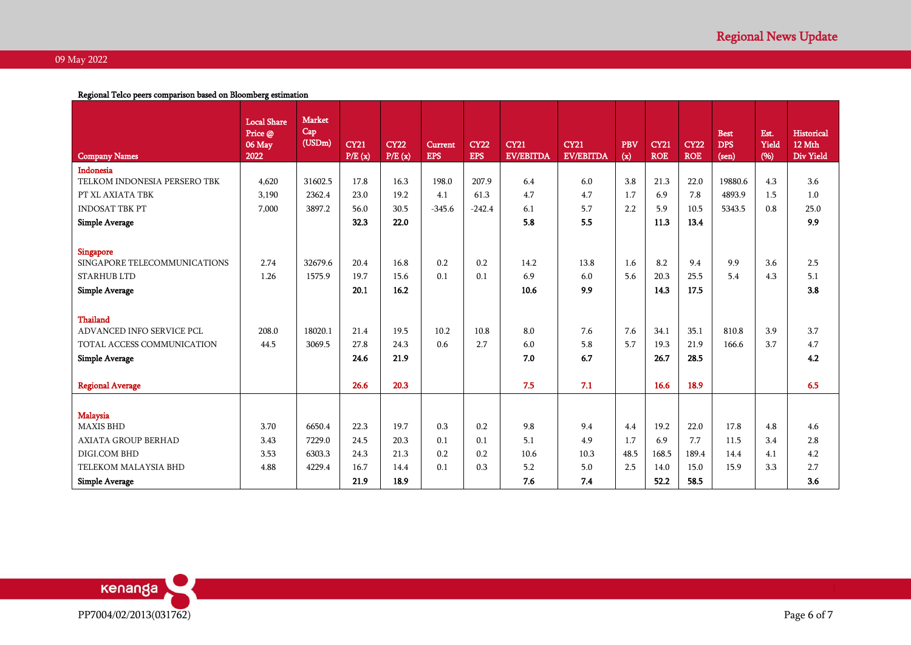Regional Telco peers comparison based on Bloomberg estimation

|                              | <b>Local Share</b> | <b>Market</b><br>Cap |             |             |                |             |                  |                  |            |             |             |                           |               |                      |
|------------------------------|--------------------|----------------------|-------------|-------------|----------------|-------------|------------------|------------------|------------|-------------|-------------|---------------------------|---------------|----------------------|
|                              | Price @<br>06 May  | (USDm)               | <b>CY21</b> | <b>CY22</b> | <b>Current</b> | <b>CY22</b> | <b>CY21</b>      | <b>CY21</b>      | <b>PBV</b> | <b>CY21</b> | <b>CY22</b> | <b>Best</b><br><b>DPS</b> | Est.<br>Yield | Historical<br>12 Mth |
| <b>Company Names</b>         | 2022               |                      | P/E(x)      | P/E(x)      | <b>EPS</b>     | <b>EPS</b>  | <b>EV/EBITDA</b> | <b>EV/EBITDA</b> | (x)        | <b>ROE</b>  | <b>ROE</b>  | (sen)                     | (96)          | Div Yield            |
| Indonesia                    |                    |                      |             |             |                |             |                  |                  |            |             |             |                           |               |                      |
| TELKOM INDONESIA PERSERO TBK | 4,620              | 31602.5              | 17.8        | 16.3        | 198.0          | 207.9       | 6.4              | 6.0              | 3.8        | 21.3        | 22.0        | 19880.6                   | 4.3           | 3.6                  |
| PT XL AXIATA TBK             | 3,190              | 2362.4               | 23.0        | 19.2        | 4.1            | 61.3        | 4.7              | 4.7              | 1.7        | 6.9         | 7.8         | 4893.9                    | 1.5           | 1.0                  |
| <b>INDOSAT TBK PT</b>        | 7.000              | 3897.2               | 56.0        | 30.5        | $-345.6$       | $-242.4$    | 6.1              | 5.7              | 2.2        | 5.9         | 10.5        | 5343.5                    | 0.8           | 25.0                 |
| <b>Simple Average</b>        |                    |                      | 32.3        | 22.0        |                |             | 5.8              | 5.5              |            | 11.3        | 13.4        |                           |               | 9.9                  |
|                              |                    |                      |             |             |                |             |                  |                  |            |             |             |                           |               |                      |
| <b>Singapore</b>             |                    |                      |             |             |                |             |                  |                  |            |             |             |                           |               |                      |
| SINGAPORE TELECOMMUNICATIONS | 2.74               | 32679.6              | 20.4        | 16.8        | 0.2            | 0.2         | 14.2             | 13.8             | 1.6        | 8.2         | 9.4         | 9.9                       | 3.6           | 2.5                  |
| <b>STARHUB LTD</b>           | 1.26               | 1575.9               | 19.7        | 15.6        | 0.1            | 0.1         | 6.9              | 6.0              | 5.6        | 20.3        | 25.5        | 5.4                       | 4.3           | 5.1                  |
| <b>Simple Average</b>        |                    |                      | 20.1        | 16.2        |                |             | 10.6             | 9.9              |            | 14.3        | 17.5        |                           |               | 3.8                  |
|                              |                    |                      |             |             |                |             |                  |                  |            |             |             |                           |               |                      |
| <b>Thailand</b>              |                    |                      |             |             |                |             |                  |                  |            |             |             |                           |               |                      |
| ADVANCED INFO SERVICE PCL    | 208.0              | 18020.1              | 21.4        | 19.5        | 10.2           | 10.8        | 8.0              | 7.6              | 7.6        | 34.1        | 35.1        | 810.8                     | 3.9           | 3.7                  |
| TOTAL ACCESS COMMUNICATION   | 44.5               | 3069.5               | 27.8        | 24.3        | 0.6            | 2.7         | 6.0              | 5.8              | 5.7        | 19.3        | 21.9        | 166.6                     | 3.7           | 4.7                  |
| <b>Simple Average</b>        |                    |                      | 24.6        | 21.9        |                |             | 7.0              | 6.7              |            | 26.7        | 28.5        |                           |               | 4.2                  |
|                              |                    |                      |             |             |                |             |                  |                  |            |             |             |                           |               |                      |
| <b>Regional Average</b>      |                    |                      | 26.6        | 20.3        |                |             | 7.5              | 7.1              |            | 16.6        | 18.9        |                           |               | 6.5                  |
|                              |                    |                      |             |             |                |             |                  |                  |            |             |             |                           |               |                      |
| <b>Malaysia</b>              |                    |                      |             |             |                |             |                  |                  |            |             |             |                           |               |                      |
| <b>MAXIS BHD</b>             | 3.70               | 6650.4               | 22.3        | 19.7        | 0.3            | 0.2         | 9.8              | 9.4              | 4.4        | 19.2        | 22.0        | 17.8                      | 4.8           | 4.6                  |
| <b>AXIATA GROUP BERHAD</b>   | 3.43               | 7229.0               | 24.5        | 20.3        | 0.1            | 0.1         | 5.1              | 4.9              | 1.7        | 6.9         | 7.7         | 11.5                      | 3.4           | 2.8                  |
| DIGI.COM BHD                 | 3.53               | 6303.3               | 24.3        | 21.3        | 0.2            | 0.2         | 10.6             | 10.3             | 48.5       | 168.5       | 189.4       | 14.4                      | 4.1           | 4.2                  |
| TELEKOM MALAYSIA BHD         | 4.88               | 4229.4               | 16.7        | 14.4        | 0.1            | 0.3         | 5.2              | 5.0              | 2.5        | 14.0        | 15.0        | 15.9                      | 3.3           | 2.7                  |
| <b>Simple Average</b>        |                    |                      | 21.9        | 18.9        |                |             | 7.6              | 7.4              |            | 52.2        | 58.5        |                           |               | 3.6                  |